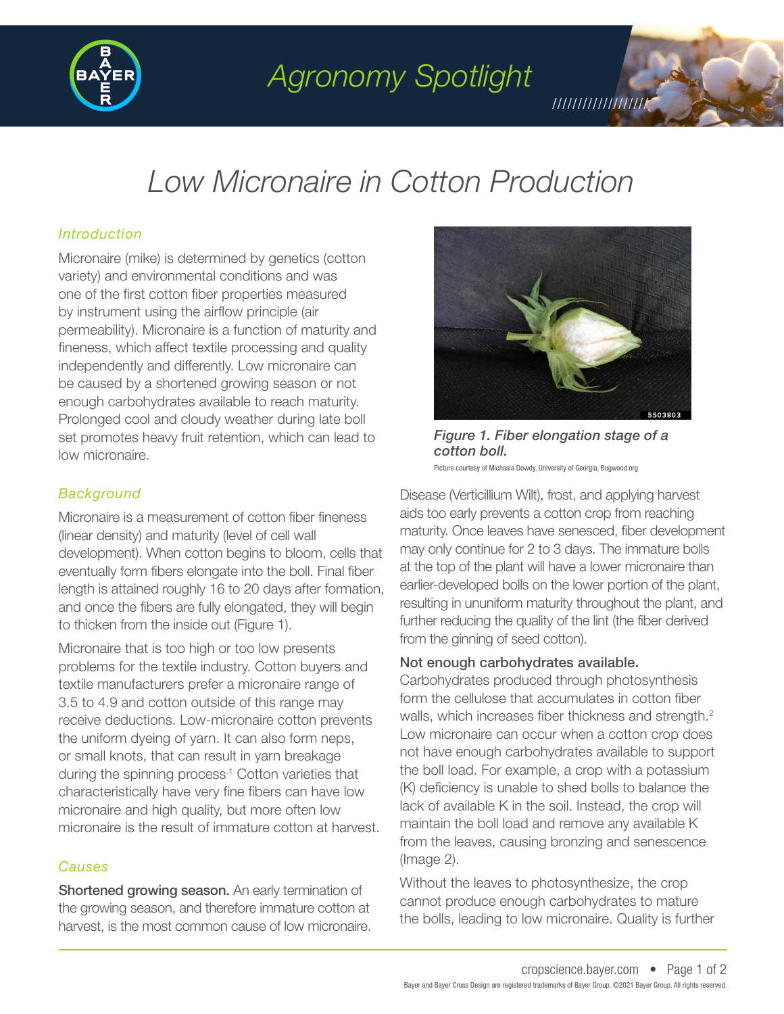

*Agronomy Spotlight*

# *Low Micronaire in Cotton Production*

## *Introduction*

Micronaire (mike) is determined by genetics (cotton variety) and environmental conditions and was one of the first cotton fiber properties measured by instrument using the airflow principle (air permeability). Micronaire is a function of maturity and fineness, which affect textile processing and quality independently and differently. Low micronaire can be caused by a shortened growing season or not enough carbohydrates available to reach maturity. Prolonged cool and cloudy weather during late boll set promotes heavy fruit retention, which can lead to low micronaire.

### *Background*

Micronaire is a measurement of cotton fiber fineness (linear density) and maturity (level of cell wall development). When cotton begins to bloom, cells that eventually form fibers elongate into the boll. Final fiber length is attained roughly 16 to 20 days after formation, and once the fibers are fully elongated, they will begin to thicken from the inside out (Figure 1).

Micronaire that is too high or too low presents problems for the textile industry. Cotton buyers and textile manufacturers prefer a micronaire range of 3.5 to 4.9 and cotton outside of this range may receive deductions. Low-micronaire cotton prevents the uniform dyeing of yarn. It can also form neps, or small knots, that can result in yarn breakage during the spinning process<sup>1</sup> Cotton varieties that characteristically have very fine fibers can have low micronaire and high quality, but more often low micronaire is the result of immature cotton at harvest.

### *Causes*

Shortened growing season. An early termination of the growing season, and therefore immature cotton at harvest, is the most common cause of low micronaire.



///////////////////

*Figure 1. Fiber elongation stage of a cotton boll.* 

Picture courtesy of Michasia Dowdy, University of Georgia, Bugwood.org

Disease (Verticillium Wilt), frost, and applying harvest aids too early prevents a cotton crop from reaching maturity. Once leaves have senesced, fiber development may only continue for 2 to 3 days. The immature bolls at the top of the plant will have a lower micronaire than earlier-developed bolls on the lower portion of the plant, resulting in ununiform maturity throughout the plant, and further reducing the quality of the lint (the fiber derived from the ginning of seed cotton).

### Not enough carbohydrates available.

Carbohydrates produced through photosynthesis form the cellulose that accumulates in cotton fiber walls, which increases fiber thickness and strength.<sup>2</sup> Low micronaire can occur when a cotton crop does not have enough carbohydrates available to support the boll load. For example, a crop with a potassium (K) deficiency is unable to shed bolls to balance the lack of available K in the soil. Instead, the crop will maintain the boll load and remove any available K from the leaves, causing bronzing and senescence (Image 2).

Without the leaves to photosynthesize, the crop cannot produce enough carbohydrates to mature the bolls, leading to low micronaire. Quality is further